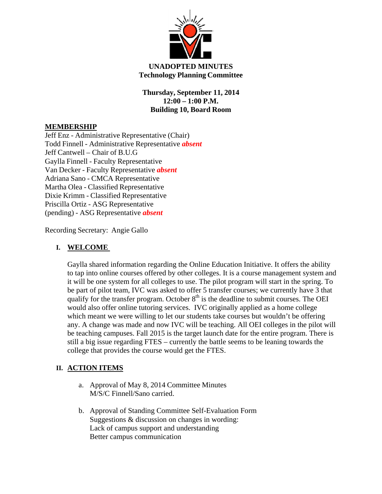

## **UNADOPTED MINUTES Technology Planning Committee**

**Thursday, September 11, 2014 12:00 – 1:00 P.M. Building 10, Board Room**

# **MEMBERSHIP**

Jeff Enz - Administrative Representative (Chair) Todd Finnell - Administrative Representative *absent* Jeff Cantwell – Chair of B.U.G Gaylla Finnell - Faculty Representative Van Decker - Faculty Representative *absent* Adriana Sano - CMCA Representative Martha Olea - Classified Representative Dixie Krimm - Classified Representative Priscilla Ortiz - ASG Representative (pending) - ASG Representative *absent*

Recording Secretary: Angie Gallo

## **I. WELCOME**

Gaylla shared information regarding the Online Education Initiative. It offers the ability to tap into online courses offered by other colleges. It is a course management system and it will be one system for all colleges to use. The pilot program will start in the spring. To be part of pilot team, IVC was asked to offer 5 transfer courses; we currently have 3 that qualify for the transfer program. October  $8<sup>th</sup>$  is the deadline to submit courses. The OEI would also offer online tutoring services. IVC originally applied as a home college which meant we were willing to let our students take courses but wouldn't be offering any. A change was made and now IVC will be teaching. All OEI colleges in the pilot will be teaching campuses. Fall 2015 is the target launch date for the entire program. There is still a big issue regarding FTES – currently the battle seems to be leaning towards the college that provides the course would get the FTES.

## **II. ACTION ITEMS**

- a. Approval of May 8, 2014 Committee Minutes M/S/C Finnell/Sano carried.
- b. Approval of Standing Committee Self-Evaluation Form Suggestions & discussion on changes in wording: Lack of campus support and understanding Better campus communication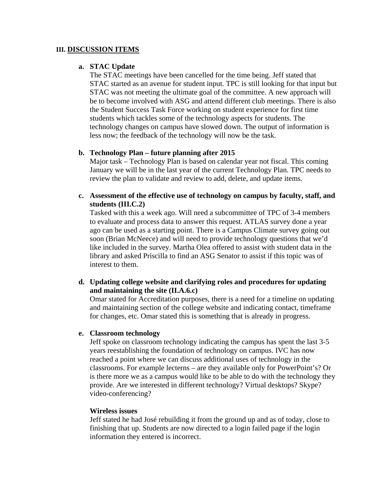### **III. DISCUSSION ITEMS**

### **a. STAC Update**

The STAC meetings have been cancelled for the time being. Jeff stated that STAC started as an avenue for student input. TPC is still looking for that input but STAC was not meeting the ultimate goal of the committee. A new approach will be to become involved with ASG and attend different club meetings. There is also the Student Success Task Force working on student experience for first time students which tackles some of the technology aspects for students. The technology changes on campus have slowed down. The output of information is less now; the feedback of the technology will now be the task.

## **b. Technology Plan – future planning after 2015**

Major task – Technology Plan is based on calendar year not fiscal. This coming January we will be in the last year of the current Technology Plan. TPC needs to review the plan to validate and review to add, delete, and update items.

**c. Assessment of the effective use of technology on campus by faculty, staff, and students (III.C.2)** 

Tasked with this a week ago. Will need a subcommittee of TPC of 3-4 members to evaluate and process data to answer this request. ATLAS survey done a year ago can be used as a starting point. There is a Campus Climate survey going out soon (Brian McNeece) and will need to provide technology questions that we'd like included in the survey. Martha Olea offered to assist with student data in the library and asked Priscilla to find an ASG Senator to assist if this topic was of interest to them.

**d. Updating college website and clarifying roles and procedures for updating and maintaining the site (II.A.6.c)** 

Omar stated for Accreditation purposes, there is a need for a timeline on updating and maintaining section of the college website and indicating contact, timeframe for changes, etc. Omar stated this is something that is already in progress.

#### **e. Classroom technology**

Jeff spoke on classroom technology indicating the campus has spent the last 3-5 years reestablishing the foundation of technology on campus. IVC has now reached a point where we can discuss additional uses of technology in the classrooms. For example lecterns – are they available only for PowerPoint's? Or is there more we as a campus would like to be able to do with the technology they provide. Are we interested in different technology? Virtual desktops? Skype? video-conferencing?

#### **Wireless issues**

Jeff stated he had José rebuilding it from the ground up and as of today, close to finishing that up. Students are now directed to a login failed page if the login information they entered is incorrect.